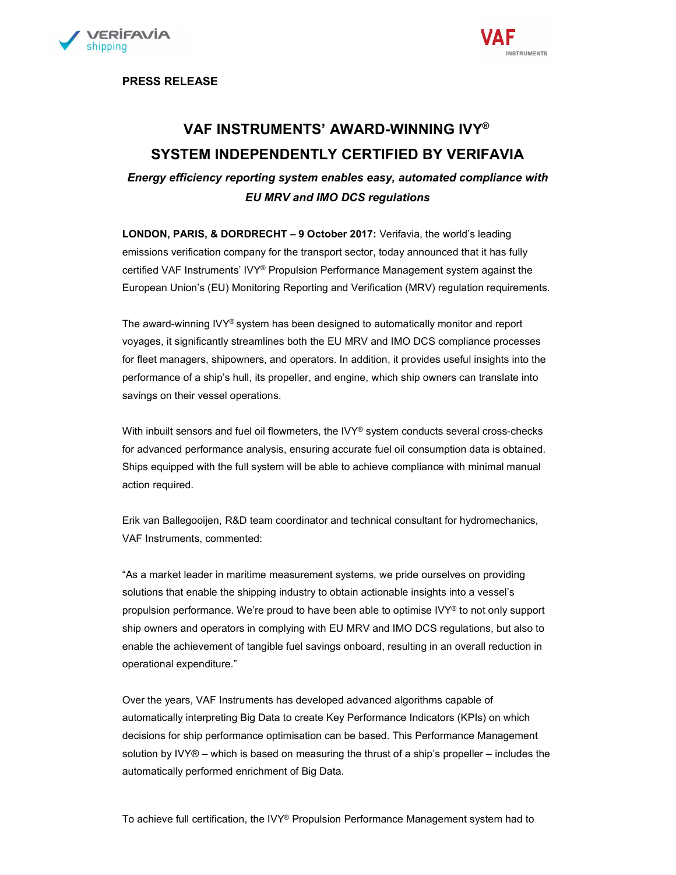



PRESS RELEASE

## VAF INSTRUMENTS' AWARD-WINNING IVY® SYSTEM INDEPENDENTLY CERTIFIED BY VERIFAVIA

Energy efficiency reporting system enables easy, automated compliance with EU MRV and IMO DCS regulations

LONDON, PARIS, & DORDRECHT – 9 October 2017: Verifavia, the world's leading emissions verification company for the transport sector, today announced that it has fully certified VAF Instruments' IVY® Propulsion Performance Management system against the European Union's (EU) Monitoring Reporting and Verification (MRV) regulation requirements.

The award-winning IVY® system has been designed to automatically monitor and report voyages, it significantly streamlines both the EU MRV and IMO DCS compliance processes for fleet managers, shipowners, and operators. In addition, it provides useful insights into the performance of a ship's hull, its propeller, and engine, which ship owners can translate into savings on their vessel operations.

With inbuilt sensors and fuel oil flowmeters, the IVY® system conducts several cross-checks for advanced performance analysis, ensuring accurate fuel oil consumption data is obtained. Ships equipped with the full system will be able to achieve compliance with minimal manual action required.

Erik van Ballegooijen, R&D team coordinator and technical consultant for hydromechanics, VAF Instruments, commented:

"As a market leader in maritime measurement systems, we pride ourselves on providing solutions that enable the shipping industry to obtain actionable insights into a vessel's propulsion performance. We're proud to have been able to optimise IVY® to not only support ship owners and operators in complying with EU MRV and IMO DCS regulations, but also to enable the achievement of tangible fuel savings onboard, resulting in an overall reduction in operational expenditure."

Over the years, VAF Instruments has developed advanced algorithms capable of automatically interpreting Big Data to create Key Performance Indicators (KPIs) on which decisions for ship performance optimisation can be based. This Performance Management solution by IVY® – which is based on measuring the thrust of a ship's propeller – includes the automatically performed enrichment of Big Data.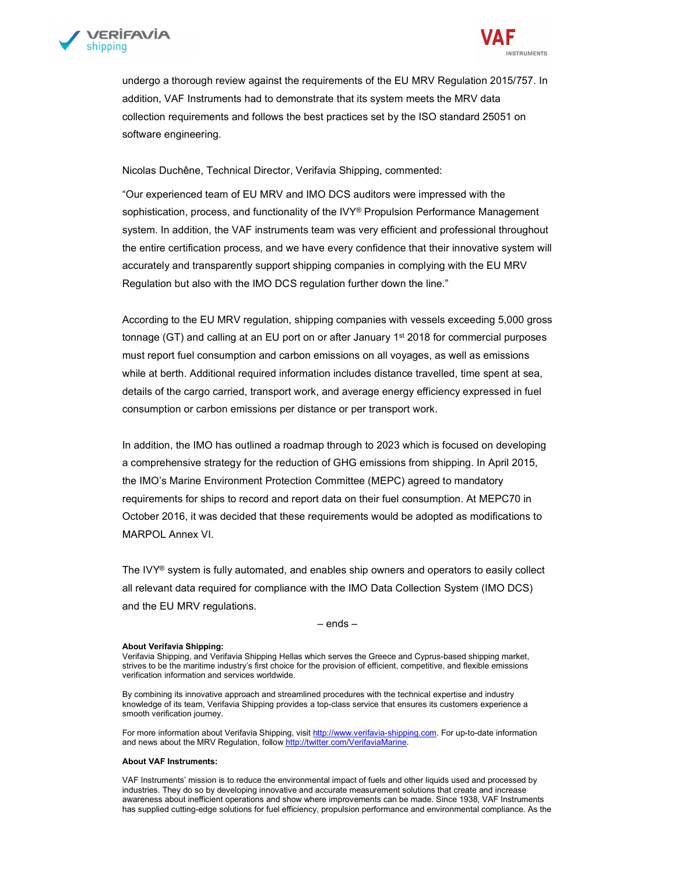



undergo a thorough review against the requirements of the EU MRV Regulation 2015/757. In addition, VAF Instruments had to demonstrate that its system meets the MRV data collection requirements and follows the best practices set by the ISO standard 25051 on software engineering.

Nicolas Duchêne, Technical Director, Verifavia Shipping, commented:

 "Our experienced team of EU MRV and IMO DCS auditors were impressed with the sophistication, process, and functionality of the IVY® Propulsion Performance Management system. In addition, the VAF instruments team was very efficient and professional throughout the entire certification process, and we have every confidence that their innovative system will accurately and transparently support shipping companies in complying with the EU MRV Regulation but also with the IMO DCS regulation further down the line."

According to the EU MRV regulation, shipping companies with vessels exceeding 5,000 gross tonnage (GT) and calling at an EU port on or after January 1st 2018 for commercial purposes must report fuel consumption and carbon emissions on all voyages, as well as emissions while at berth. Additional required information includes distance travelled, time spent at sea, details of the cargo carried, transport work, and average energy efficiency expressed in fuel consumption or carbon emissions per distance or per transport work.

In addition, the IMO has outlined a roadmap through to 2023 which is focused on developing a comprehensive strategy for the reduction of GHG emissions from shipping. In April 2015, the IMO's Marine Environment Protection Committee (MEPC) agreed to mandatory requirements for ships to record and report data on their fuel consumption. At MEPC70 in October 2016, it was decided that these requirements would be adopted as modifications to MARPOL Annex VI.

The IVY® system is fully automated, and enables ship owners and operators to easily collect all relevant data required for compliance with the IMO Data Collection System (IMO DCS) and the EU MRV regulations.

– ends –

## About Verifavia Shipping:

Verifavia Shipping, and Verifavia Shipping Hellas which serves the Greece and Cyprus-based shipping market, strives to be the maritime industry's first choice for the provision of efficient, competitive, and flexible emissions verification information and services worldwide.

 By combining its innovative approach and streamlined procedures with the technical expertise and industry knowledge of its team, Verifavia Shipping provides a top-class service that ensures its customers experience a smooth verification journey.

For more information about Verifavia Shipping, visit http://www.verifavia-shipping.com. For up-to-date information and news about the MRV Regulation, follow http://twitter.com/VerifaviaMarine.

## About VAF Instruments:

VAF Instruments' mission is to reduce the environmental impact of fuels and other liquids used and processed by industries. They do so by developing innovative and accurate measurement solutions that create and increase awareness about inefficient operations and show where improvements can be made. Since 1938, VAF Instruments has supplied cutting-edge solutions for fuel efficiency, propulsion performance and environmental compliance. As the